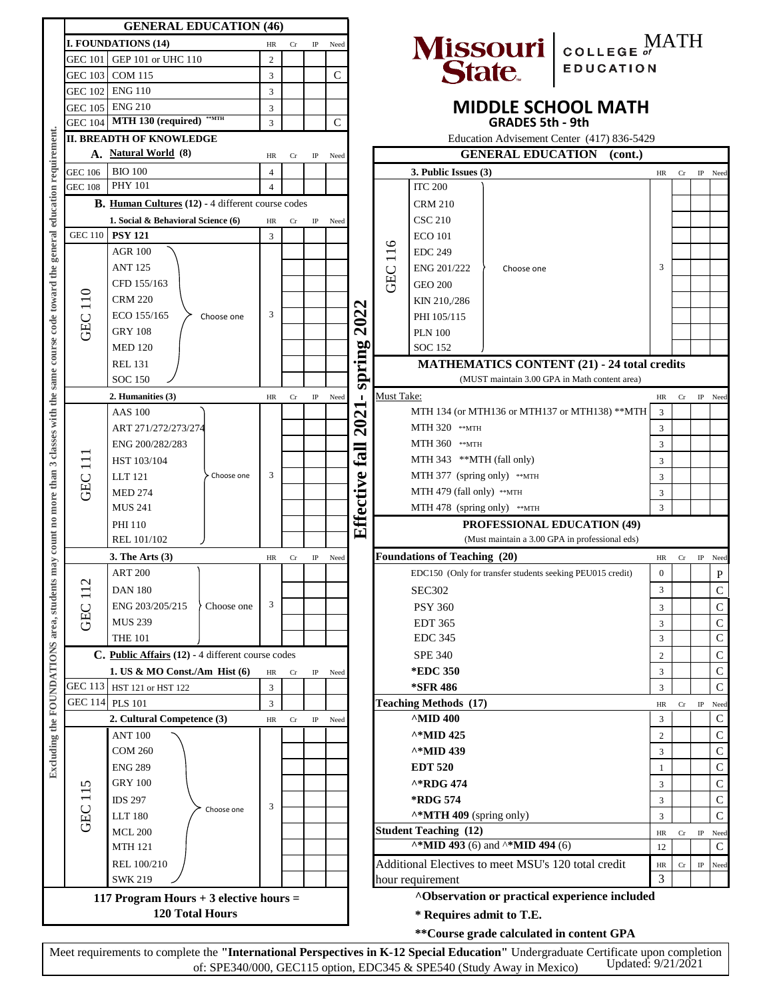|                                                                                                                        | <b>GENERAL EDUCATION (46)</b>                            |                |    |             |      |                                                |                                                                                     |                                                                                                  |                                                    |                                               |                |    |             |                       |
|------------------------------------------------------------------------------------------------------------------------|----------------------------------------------------------|----------------|----|-------------|------|------------------------------------------------|-------------------------------------------------------------------------------------|--------------------------------------------------------------------------------------------------|----------------------------------------------------|-----------------------------------------------|----------------|----|-------------|-----------------------|
|                                                                                                                        | <b>I. FOUNDATIONS (14)</b>                               | HR             | Cr | IP          | Need |                                                |                                                                                     |                                                                                                  |                                                    | Missouri COLLEGE OF MATH                      |                |    |             |                       |
| GEC 101                                                                                                                | GEP 101 or UHC 110                                       | $\overline{c}$ |    |             |      |                                                |                                                                                     |                                                                                                  |                                                    |                                               |                |    |             |                       |
| GEC 103                                                                                                                | <b>COM 115</b>                                           | 3              |    |             | C    |                                                |                                                                                     |                                                                                                  |                                                    |                                               |                |    |             |                       |
| GEC 102                                                                                                                | <b>ENG 110</b>                                           | 3              |    |             |      |                                                |                                                                                     |                                                                                                  |                                                    |                                               |                |    |             |                       |
| GEC 105                                                                                                                | <b>ENG 210</b>                                           | 3              |    |             |      |                                                |                                                                                     |                                                                                                  |                                                    | <b>MIDDLE SCHOOL MATH</b>                     |                |    |             |                       |
| GEC 104                                                                                                                | <b>**MTH</b><br>MTH 130 (required)                       | 3              |    |             | C    |                                                |                                                                                     |                                                                                                  | <b>GRADES 5th - 9th</b>                            |                                               |                |    |             |                       |
|                                                                                                                        | <b>II. BREADTH OF KNOWLEDGE</b>                          |                |    |             |      |                                                |                                                                                     |                                                                                                  |                                                    | Education Advisement Center (417) 836-5429    |                |    |             |                       |
|                                                                                                                        | A. Natural World (8)                                     |                |    |             |      |                                                |                                                                                     |                                                                                                  | <b>GENERAL EDUCATION</b>                           | (cont.)                                       |                |    |             |                       |
|                                                                                                                        | HR<br>Cr<br><b>BIO 100</b>                               |                |    | $_{\rm IP}$ | Need |                                                |                                                                                     |                                                                                                  |                                                    |                                               |                |    |             |                       |
| GEC 106                                                                                                                | <b>PHY 101</b>                                           | $\overline{4}$ |    |             |      |                                                |                                                                                     | 3. Public Issues (3)                                                                             |                                                    |                                               | HR             | Cr | $_{\rm IP}$ | Need                  |
| <b>GEC 108</b>                                                                                                         |                                                          | $\overline{4}$ |    |             |      |                                                |                                                                                     | <b>ITC 200</b>                                                                                   |                                                    |                                               |                |    |             |                       |
|                                                                                                                        | <b>B.</b> Human Cultures (12) - 4 different course codes |                |    |             |      |                                                |                                                                                     | <b>CRM 210</b>                                                                                   |                                                    |                                               |                |    |             |                       |
|                                                                                                                        | 1. Social & Behavioral Science (6)                       | HR             | Cr | IP          | Need |                                                |                                                                                     | <b>CSC 210</b>                                                                                   |                                                    |                                               |                |    |             |                       |
| may count no more than 3 classes with the same course code toward the general education requirement.<br><b>GEC 110</b> | <b>PSY 121</b>                                           | 3              |    |             |      |                                                |                                                                                     | <b>ECO</b> 101                                                                                   |                                                    |                                               |                |    |             |                       |
|                                                                                                                        | <b>AGR 100</b>                                           |                |    |             |      |                                                | 116                                                                                 | <b>EDC 249</b>                                                                                   |                                                    |                                               |                |    |             |                       |
|                                                                                                                        | <b>ANT 125</b>                                           |                |    |             |      |                                                | GEC                                                                                 | ENG 201/222                                                                                      | Choose one                                         |                                               | 3              |    |             |                       |
|                                                                                                                        | CFD 155/163                                              |                |    |             |      |                                                |                                                                                     | <b>GEO 200</b>                                                                                   |                                                    |                                               |                |    |             |                       |
|                                                                                                                        | <b>CRM 220</b>                                           |                |    |             |      | ત્ર                                            |                                                                                     | KIN 210,/286                                                                                     |                                                    |                                               |                |    |             |                       |
|                                                                                                                        | ECO 155/165<br>Choose one                                | 3              |    |             |      |                                                |                                                                                     | PHI 105/115                                                                                      |                                                    |                                               |                |    |             |                       |
| <b>GEC 110</b>                                                                                                         | <b>GRY 108</b>                                           |                |    |             |      | 202                                            |                                                                                     | <b>PLN 100</b>                                                                                   |                                                    |                                               |                |    |             |                       |
|                                                                                                                        | <b>MED 120</b>                                           |                |    |             |      |                                                |                                                                                     | <b>SOC 152</b>                                                                                   | <b>MATHEMATICS CONTENT (21) - 24 total credits</b> |                                               |                |    |             |                       |
|                                                                                                                        | <b>REL 131</b>                                           |                |    |             |      |                                                |                                                                                     |                                                                                                  |                                                    |                                               |                |    |             |                       |
|                                                                                                                        | <b>SOC 150</b>                                           |                |    |             |      | spring                                         | (MUST maintain 3.00 GPA in Math content area)                                       |                                                                                                  |                                                    |                                               |                |    |             |                       |
|                                                                                                                        | 2. Humanities (3)                                        | HR             | Cr | $_{\rm IP}$ | Need | $\blacksquare$                                 | Must Take:                                                                          |                                                                                                  |                                                    |                                               | HR             | Cr | $_{\rm IP}$ | Need                  |
|                                                                                                                        | <b>AAS 100</b>                                           |                |    |             |      | $\overline{\mathbf{C}}$                        |                                                                                     |                                                                                                  | MTH 134 (or MTH136 or MTH137 or MTH138) **MTH      |                                               |                |    |             |                       |
|                                                                                                                        | ART 271/272/273/274                                      |                |    |             |      | $\mathbf{\widehat{S}}$                         | MTH 320 ** мтн                                                                      |                                                                                                  |                                                    | 3<br>3                                        |                |    |             |                       |
|                                                                                                                        | ENG 200/282/283                                          |                |    |             |      |                                                | MTH 360 ** MTH                                                                      |                                                                                                  |                                                    |                                               | 3              |    |             |                       |
|                                                                                                                        |                                                          |                |    |             |      | fall                                           |                                                                                     | MTH 343 **MTH (fall only)                                                                        |                                                    |                                               |                |    |             |                       |
| $\mathbf{1}$                                                                                                           | HST 103/104                                              |                |    |             |      |                                                |                                                                                     | MTH 377 (spring only) $*$ MTH                                                                    |                                                    |                                               |                |    |             |                       |
| GEC                                                                                                                    | <b>LLT</b> 121<br>Choose one                             | 3              |    |             |      |                                                |                                                                                     |                                                                                                  |                                                    |                                               |                |    |             |                       |
|                                                                                                                        | <b>MED 274</b>                                           |                |    |             |      |                                                | MTH 479 (fall only) **MTH                                                           |                                                                                                  |                                                    |                                               | 3<br>3         |    |             |                       |
|                                                                                                                        | <b>MUS 241</b>                                           |                |    |             |      |                                                | MTH 478 (spring only) **MTH<br><b>PROFESSIONAL EDUCATION (49)</b>                   |                                                                                                  |                                                    |                                               |                |    |             |                       |
|                                                                                                                        | PHI 110                                                  |                |    |             |      | Effective                                      |                                                                                     |                                                                                                  |                                                    |                                               |                |    |             |                       |
|                                                                                                                        | REL 101/102                                              |                |    |             |      | (Must maintain a 3.00 GPA in professional eds) |                                                                                     |                                                                                                  |                                                    |                                               |                |    |             |                       |
|                                                                                                                        | 3. The Arts $(3)$                                        | HR             | Cr | IP          | Need |                                                |                                                                                     | <b>Foundations of Teaching (20)</b><br>EDC150 (Only for transfer students seeking PEU015 credit) |                                                    |                                               | HR             | Cr | $_{\rm IP}$ | Need                  |
| $\mathbf{\Omega}$                                                                                                      | <b>ART 200</b>                                           |                |    |             |      |                                                |                                                                                     |                                                                                                  |                                                    |                                               | 0              |    |             | $\mathbf P$           |
| $\overline{\phantom{0}}$                                                                                               | <b>DAN 180</b>                                           |                |    |             |      |                                                | <b>SEC302</b>                                                                       |                                                                                                  |                                                    |                                               | 3              |    |             | $\mathbf C$           |
|                                                                                                                        | ENG 203/205/215<br>Choose one                            | 3              |    |             |      |                                                | <b>PSY 360</b><br><b>EDT 365</b>                                                    |                                                                                                  |                                                    |                                               |                |    |             | C                     |
| GEC                                                                                                                    | <b>MUS 239</b>                                           |                |    |             |      |                                                |                                                                                     |                                                                                                  |                                                    |                                               |                |    |             | C                     |
|                                                                                                                        | <b>THE 101</b>                                           |                |    |             |      |                                                |                                                                                     | <b>EDC 345</b>                                                                                   |                                                    |                                               | 3              |    |             | C                     |
| Excluding the FOUNDATIONS area, students                                                                               | C. Public Affairs (12) - 4 different course codes        |                |    |             |      |                                                |                                                                                     | <b>SPE 340</b>                                                                                   |                                                    |                                               | 2              |    |             | C                     |
|                                                                                                                        | 1. US & MO Const./Am Hist $(6)$                          | HR             | Cr | IP          | Need |                                                |                                                                                     | *EDC 350                                                                                         |                                                    |                                               | 3              |    |             | С                     |
|                                                                                                                        | GEC 113 HST 121 or HST 122                               | 3              |    |             |      |                                                |                                                                                     | *SFR 486                                                                                         |                                                    |                                               | 3              |    |             | $\mathsf{C}$          |
|                                                                                                                        | GEC 114 PLS 101                                          | 3              |    |             |      |                                                |                                                                                     | <b>Teaching Methods (17)</b>                                                                     |                                                    |                                               | HR             | Cr | $_{\rm IP}$ | Need                  |
|                                                                                                                        | 2. Cultural Competence (3)                               | HR             | Cr | $_{\rm IP}$ | Need |                                                |                                                                                     | $^{\wedge}$ MID 400                                                                              |                                                    |                                               | 3              |    |             | C                     |
|                                                                                                                        | <b>ANT 100</b>                                           |                |    |             |      |                                                |                                                                                     | ^*MID 425                                                                                        |                                                    |                                               | 2              |    |             | C                     |
|                                                                                                                        | <b>COM 260</b>                                           |                |    |             |      |                                                |                                                                                     | ^*MID 439                                                                                        |                                                    |                                               | 3              |    |             | C                     |
|                                                                                                                        | <b>ENG 289</b>                                           |                |    |             |      |                                                |                                                                                     | <b>EDT 520</b>                                                                                   |                                                    |                                               | 1              |    |             | C                     |
|                                                                                                                        | <b>GRY 100</b>                                           |                |    |             |      |                                                | ^*RDG 474                                                                           |                                                                                                  |                                                    |                                               | 3              |    |             | C                     |
|                                                                                                                        | <b>IDS 297</b>                                           |                |    |             |      |                                                | <b>*RDG 574</b>                                                                     |                                                                                                  |                                                    |                                               | 3              |    |             | C                     |
| GEC 115                                                                                                                | Choose one                                               | 3              |    |             |      |                                                |                                                                                     |                                                                                                  |                                                    |                                               |                |    |             | $\overline{C}$        |
|                                                                                                                        | <b>LLT 180</b>                                           |                |    |             |      |                                                | ^*MTH 409 (spring only)                                                             |                                                                                                  |                                                    |                                               | 3              |    |             |                       |
|                                                                                                                        | <b>MCL 200</b>                                           |                |    |             |      |                                                | <b>Student Teaching (12)</b><br>$\lambda * MID$ 493 (6) and $\lambda * MID$ 494 (6) |                                                                                                  |                                                    |                                               | HR             | Cr | $_{\rm IP}$ | Need<br>$\mathcal{C}$ |
|                                                                                                                        | <b>MTH 121</b>                                           |                |    |             |      |                                                |                                                                                     |                                                                                                  |                                                    |                                               | 12             |    |             |                       |
|                                                                                                                        | REL 100/210                                              |                |    |             |      |                                                |                                                                                     | Additional Electives to meet MSU's 120 total credit                                              |                                                    |                                               | HR             | Cr | $_{\rm IP}$ | Need                  |
|                                                                                                                        | <b>SWK 219</b>                                           |                |    |             |      |                                                |                                                                                     | hour requirement                                                                                 |                                                    |                                               | $\overline{3}$ |    |             |                       |
|                                                                                                                        | 117 Program Hours + 3 elective hours =                   |                |    |             |      |                                                |                                                                                     |                                                                                                  |                                                    | AObservation or practical experience included |                |    |             |                       |
|                                                                                                                        | <b>120 Total Hours</b>                                   |                |    |             |      |                                                |                                                                                     | * Requires admit to T.E.                                                                         |                                                    |                                               |                |    |             |                       |
|                                                                                                                        |                                                          |                |    |             |      |                                                |                                                                                     |                                                                                                  |                                                    | ** Course grade calculated in content GPA     |                |    |             |                       |

Meet requirements to complete the **"International Perspectives in K-12 Special Education"** Undergraduate Certificate upon completion of: SPE340/000, GEC115 option, EDC345 & SPE540 (Study Away in Mexico) Updated: 9/21/2021